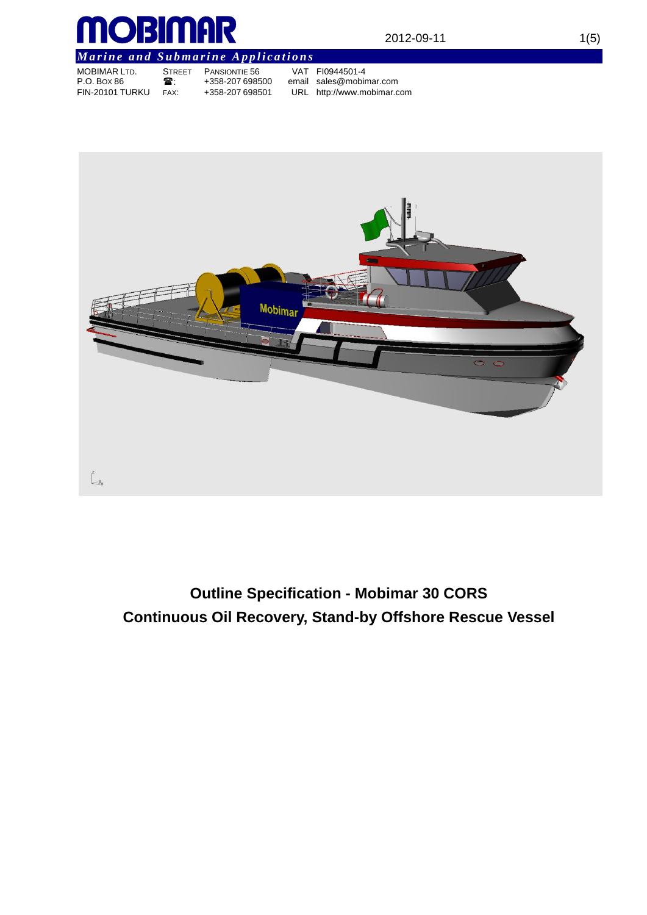

# *Marine and Submarine Applications*

| <b>MOBIMAR LTD.</b>    | <b>STREET</b> | PAN    |
|------------------------|---------------|--------|
| P.O. Box 86            | ☎.            | $+35.$ |
| <b>FIN-20101 TURKU</b> | FAX:          | $+35.$ |

MOBIMAR LTD. STREET PANSIONTIE 56 VAT FI0944501-4 8-207 698500 email sales@mobimar.com<br>8-207 698501 URL http://www.mobimar.c URL http://www.mobimar.com



 $\bigcup_{$ 

# **Outline Specification - Mobimar 30 CORS Continuous Oil Recovery, Stand-by Offshore Rescue Vessel**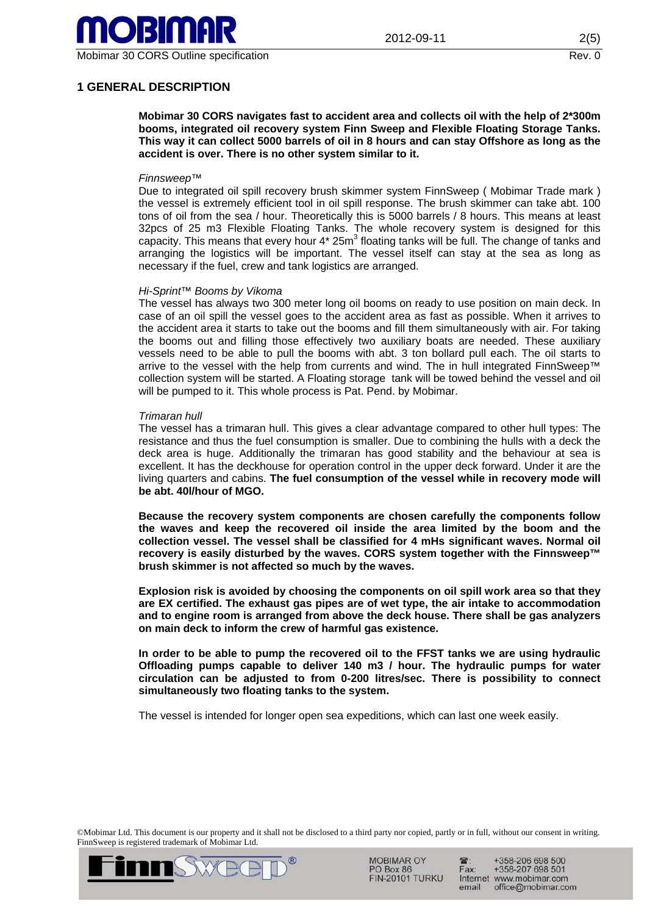

# **1 GENERAL DESCRIPTION**

**Mobimar 30 CORS navigates fast to accident area and collects oil with the help of 2\*300m booms, integrated oil recovery system Finn Sweep and Flexible Floating Storage Tanks. This way it can collect 5000 barrels of oil in 8 hours and can stay Offshore as long as the accident is over. There is no other system similar to it.** 

## *Finnsweep™*

Due to integrated oil spill recovery brush skimmer system FinnSweep ( Mobimar Trade mark ) the vessel is extremely efficient tool in oil spill response. The brush skimmer can take abt. 100 tons of oil from the sea / hour. Theoretically this is 5000 barrels / 8 hours. This means at least 32pcs of 25 m3 Flexible Floating Tanks. The whole recovery system is designed for this capacity. This means that every hour  $4*$  25m<sup>3</sup> floating tanks will be full. The change of tanks and arranging the logistics will be important. The vessel itself can stay at the sea as long as necessary if the fuel, crew and tank logistics are arranged.

#### *Hi-Sprint™ Booms by Vikoma*

The vessel has always two 300 meter long oil booms on ready to use position on main deck. In case of an oil spill the vessel goes to the accident area as fast as possible. When it arrives to the accident area it starts to take out the booms and fill them simultaneously with air. For taking the booms out and filling those effectively two auxiliary boats are needed. These auxiliary vessels need to be able to pull the booms with abt. 3 ton bollard pull each. The oil starts to arrive to the vessel with the help from currents and wind. The in hull integrated FinnSweep™ collection system will be started. A Floating storage tank will be towed behind the vessel and oil will be pumped to it. This whole process is Pat. Pend. by Mobimar.

#### *Trimaran hull*

The vessel has a trimaran hull. This gives a clear advantage compared to other hull types: The resistance and thus the fuel consumption is smaller. Due to combining the hulls with a deck the deck area is huge. Additionally the trimaran has good stability and the behaviour at sea is excellent. It has the deckhouse for operation control in the upper deck forward. Under it are the living quarters and cabins. **The fuel consumption of the vessel while in recovery mode will be abt. 40l/hour of MGO.** 

**Because the recovery system components are chosen carefully the components follow the waves and keep the recovered oil inside the area limited by the boom and the collection vessel. The vessel shall be classified for 4 mHs significant waves. Normal oil recovery is easily disturbed by the waves. CORS system together with the Finnsweep™ brush skimmer is not affected so much by the waves.** 

**Explosion risk is avoided by choosing the components on oil spill work area so that they are EX certified. The exhaust gas pipes are of wet type, the air intake to accommodation and to engine room is arranged from above the deck house. There shall be gas analyzers on main deck to inform the crew of harmful gas existence.** 

**In order to be able to pump the recovered oil to the FFST tanks we are using hydraulic Offloading pumps capable to deliver 140 m3 / hour. The hydraulic pumps for water circulation can be adjusted to from 0-200 litres/sec. There is possibility to connect simultaneously two floating tanks to the system.** 

The vessel is intended for longer open sea expeditions, which can last one week easily.

©Mobimar Ltd. This document is our property and it shall not be disclosed to a third party nor copied, partly or in full, without our consent in writing. FinnSweep is registered trademark of Mobimar Ltd.



**MOBIMAR OY** PO Box 86 **FIN-20101 TURKU** 

+358-206 698 500 +358-207 698 501 Fax: Internet www.mobimar.com email office@mobimar.com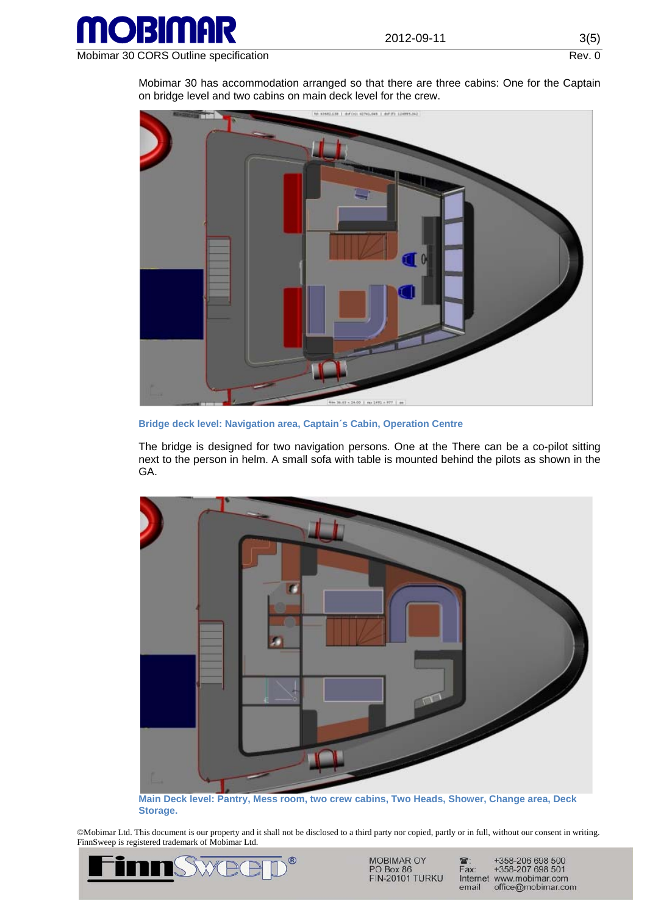

Mobimar 30 CORS Outline specification Rev. 0

Mobimar 30 has accommodation arranged so that there are three cabins: One for the Captain on bridge level and two cabins on main deck level for the crew.



**Bridge deck level: Navigation area, Captain´s Cabin, Operation Centre** 

The bridge is designed for two navigation persons. One at the There can be a co-pilot sitting next to the person in helm. A small sofa with table is mounted behind the pilots as shown in the GA.



**Main Deck level: Pantry, Mess room, two crew cabins, Two Heads, Shower, Change area, Deck Storage.** 

©Mobimar Ltd. This document is our property and it shall not be disclosed to a third party nor copied, partly or in full, without our consent in writing. FinnSweep is registered trademark of Mobimar Ltd.



MOBIMAR OY<br>PO Box 86 **FIN-20101 TURKU** 

+358-206 698 500<br>+358-207 698 501  $\mathbf{\widehat{a}}$ : Fax: Internet www.mobimar.com email office@mobimar.com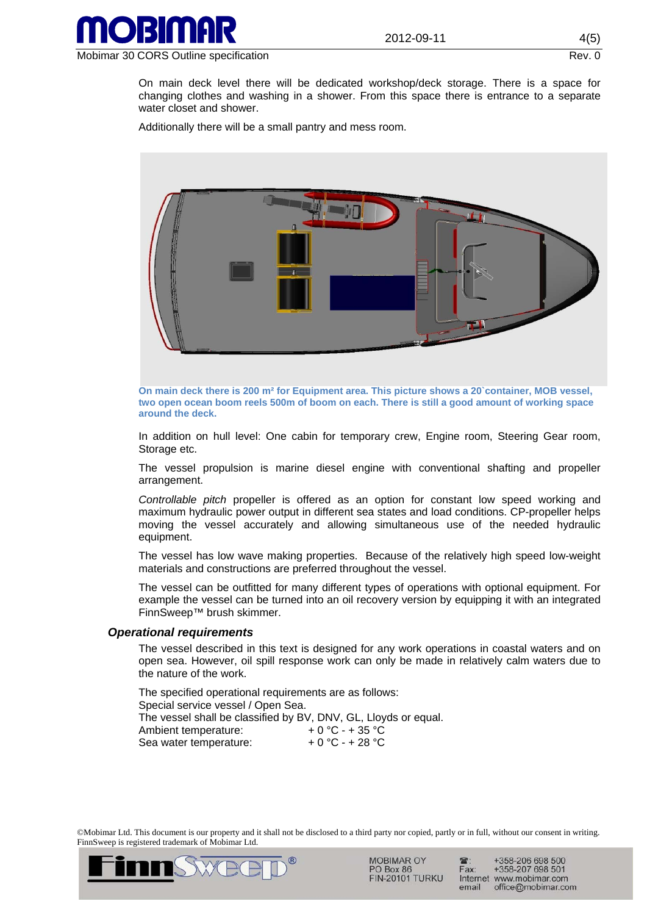

On main deck level there will be dedicated workshop/deck storage. There is a space for changing clothes and washing in a shower. From this space there is entrance to a separate water closet and shower.

Additionally there will be a small pantry and mess room.



**On main deck there is 200 m² for Equipment area. This picture shows a 20`container, MOB vessel, two open ocean boom reels 500m of boom on each. There is still a good amount of working space around the deck.** 

In addition on hull level: One cabin for temporary crew, Engine room, Steering Gear room, Storage etc.

The vessel propulsion is marine diesel engine with conventional shafting and propeller arrangement.

*Controllable pitch* propeller is offered as an option for constant low speed working and maximum hydraulic power output in different sea states and load conditions. CP-propeller helps moving the vessel accurately and allowing simultaneous use of the needed hydraulic equipment.

The vessel has low wave making properties. Because of the relatively high speed low-weight materials and constructions are preferred throughout the vessel.

The vessel can be outfitted for many different types of operations with optional equipment. For example the vessel can be turned into an oil recovery version by equipping it with an integrated FinnSweep™ brush skimmer.

#### *Operational requirements*

The vessel described in this text is designed for any work operations in coastal waters and on open sea. However, oil spill response work can only be made in relatively calm waters due to the nature of the work.

The specified operational requirements are as follows: Special service vessel / Open Sea. The vessel shall be classified by BV, DNV, GL, Lloyds or equal. Ambient temperature:  $+0$  °C - + 35 °C<br>Sea water temperature:  $+0$  °C - + 28 °C Sea water temperature:

©Mobimar Ltd. This document is our property and it shall not be disclosed to a third party nor copied, partly or in full, without our consent in writing. FinnSweep is registered trademark of Mobimar Ltd.



**MOBIMAR OY** PO Box 86 **FIN-20101 TURKU** 

+358-206 698 500 +358-207 698 501 Fax: Internet www.mobimar.com email office@mobimar.com